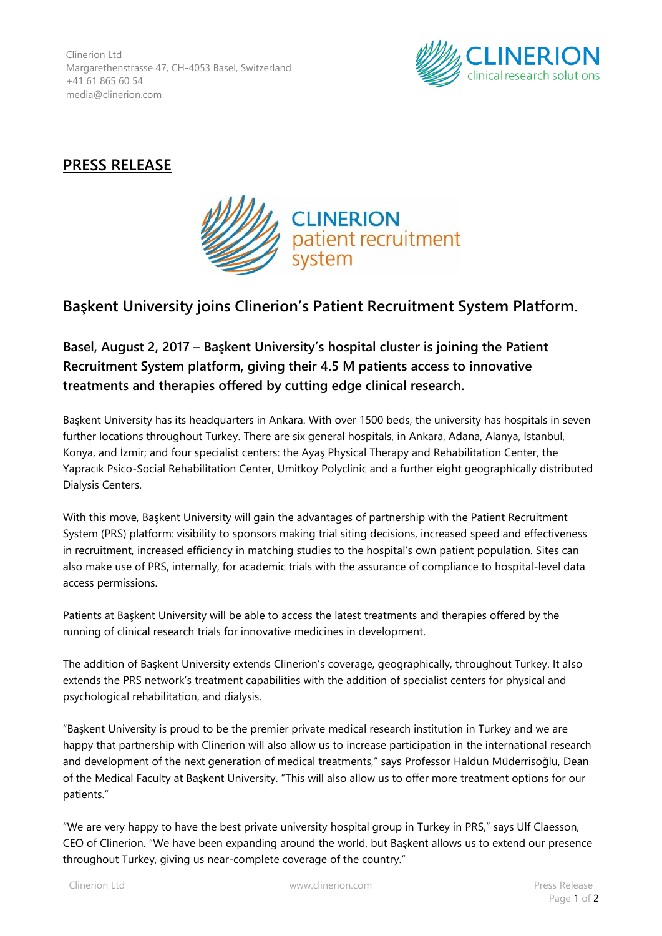Clinerion Ltd Margarethenstrasse 47, CH-4053 Basel, Switzerland +41 61 865 60 54 media@clinerion.com



## **PRESS RELEASE**



## **Başkent University joins Clinerion's Patient Recruitment System Platform.**

**Basel, August 2, 2017 – Başkent University's hospital cluster is joining the Patient Recruitment System platform, giving their 4.5 M patients access to innovative treatments and therapies offered by cutting edge clinical research.**

Başkent University has its headquarters in Ankara. With over 1500 beds, the university has hospitals in seven further locations throughout Turkey. There are six general hospitals, in Ankara, Adana, Alanya, İstanbul, Konya, and İzmir; and four specialist centers: the Ayaş Physical Therapy and Rehabilitation Center, the Yapracık Psico-Social Rehabilitation Center, Umitkoy Polyclinic and a further eight geographically distributed Dialysis Centers.

With this move, Başkent University will gain the advantages of partnership with the Patient Recruitment System (PRS) platform: visibility to sponsors making trial siting decisions, increased speed and effectiveness in recruitment, increased efficiency in matching studies to the hospital's own patient population. Sites can also make use of PRS, internally, for academic trials with the assurance of compliance to hospital-level data access permissions.

Patients at Başkent University will be able to access the latest treatments and therapies offered by the running of clinical research trials for innovative medicines in development.

The addition of Başkent University extends Clinerion's coverage, geographically, throughout Turkey. It also extends the PRS network's treatment capabilities with the addition of specialist centers for physical and psychological rehabilitation, and dialysis.

"Başkent University is proud to be the premier private medical research institution in Turkey and we are happy that partnership with Clinerion will also allow us to increase participation in the international research and development of the next generation of medical treatments," says Professor Haldun Müderrisoğlu, Dean of the Medical Faculty at Başkent University. "This will also allow us to offer more treatment options for our patients."

"We are very happy to have the best private university hospital group in Turkey in PRS," says Ulf Claesson, CEO of Clinerion. "We have been expanding around the world, but Başkent allows us to extend our presence throughout Turkey, giving us near-complete coverage of the country."